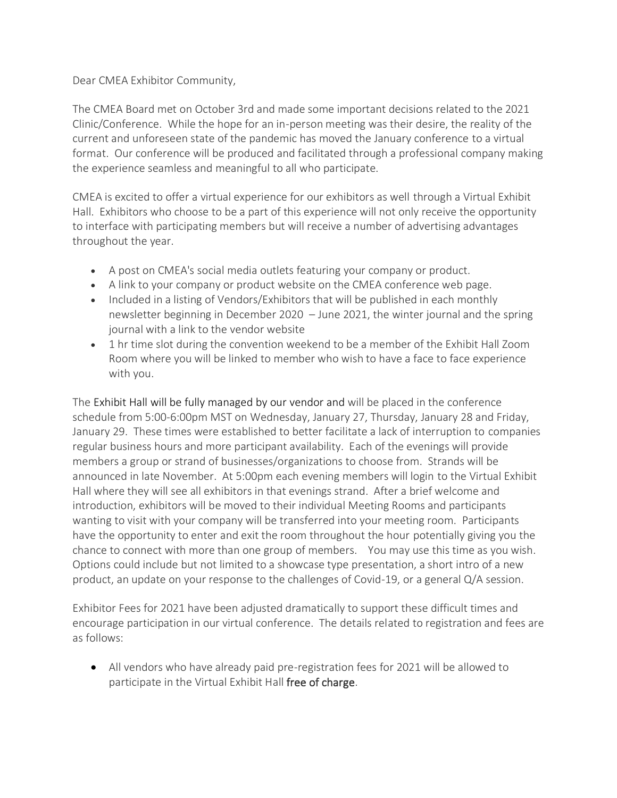Dear CMEA Exhibitor Community,

The CMEA Board met on October 3rd and made some important decisions related to the 2021 Clinic/Conference. While the hope for an in-person meeting was their desire, the reality of the current and unforeseen state of the pandemic has moved the January conference to a virtual format. Our conference will be produced and facilitated through a professional company making the experience seamless and meaningful to all who participate.

CMEA is excited to offer a virtual experience for our exhibitors as well through a Virtual Exhibit Hall. Exhibitors who choose to be a part of this experience will not only receive the opportunity to interface with participating members but will receive a number of advertising advantages throughout the year.

- A post on CMEA's social media outlets featuring your company or product.
- A link to your company or product website on the CMEA conference web page.
- Included in a listing of Vendors/Exhibitors that will be published in each monthly newsletter beginning in December 2020 – June 2021, the winter journal and the spring journal with a link to the vendor website
- 1 hr time slot during the convention weekend to be a member of the Exhibit Hall Zoom Room where you will be linked to member who wish to have a face to face experience with you.

The Exhibit Hall will be fully managed by our vendor and will be placed in the conference schedule from 5:00-6:00pm MST on Wednesday, January 27, Thursday, January 28 and Friday, January 29. These times were established to better facilitate a lack of interruption to companies regular business hours and more participant availability. Each of the evenings will provide members a group or strand of businesses/organizations to choose from. Strands will be announced in late November. At 5:00pm each evening members will login to the Virtual Exhibit Hall where they will see all exhibitors in that evenings strand. After a brief welcome and introduction, exhibitors will be moved to their individual Meeting Rooms and participants wanting to visit with your company will be transferred into your meeting room. Participants have the opportunity to enter and exit the room throughout the hour potentially giving you the chance to connect with more than one group of members. You may use this time as you wish. Options could include but not limited to a showcase type presentation, a short intro of a new product, an update on your response to the challenges of Covid-19, or a general Q/A session.

Exhibitor Fees for 2021 have been adjusted dramatically to support these difficult times and encourage participation in our virtual conference. The details related to registration and fees are as follows:

• All vendors who have already paid pre-registration fees for 2021 will be allowed to participate in the Virtual Exhibit Hall free of charge.